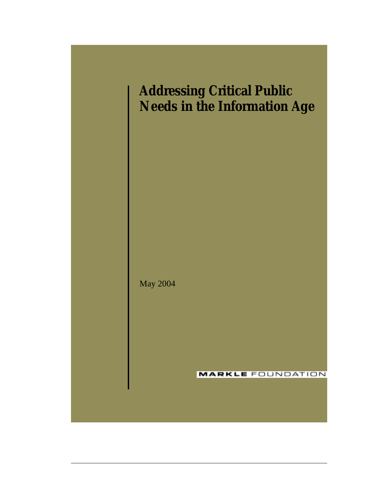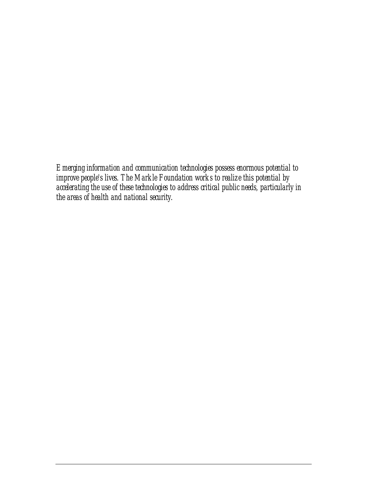*Emerging information and communication technologies possess enormous potential to improve people's lives. The Markle Foundation works to realize this potential by accelerating the use of these technologies to address critical public needs, particularly in the areas of health and national security.*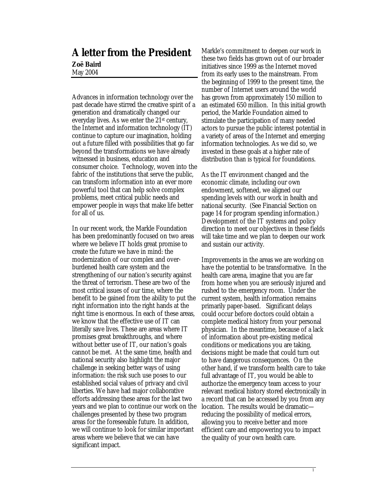## **A letter from the President**

#### **Zoë Baird**  May 2004

Advances in information technology over the past decade have stirred the creative spirit of a generation and dramatically changed our everyday lives. As we enter the 21st century, the Internet and information technology (IT) continue to capture our imagination, holding out a future filled with possibilities that go far beyond the transformations we have already witnessed in business, education and consumer choice. Technology, woven into the fabric of the institutions that serve the public, can transform information into an ever more powerful tool that can help solve complex problems, meet critical public needs and empower people in ways that make life better for all of us.

In our recent work, the Markle Foundation has been predominantly focused on two areas where we believe IT holds great promise to create the future we have in mind: the modernization of our complex and overburdened health care system and the strengthening of our nation's security against the threat of terrorism. These are two of the most critical issues of our time, where the benefit to be gained from the ability to put the right information into the right hands at the right time is enormous. In each of these areas, we know that the effective use of IT can literally save lives. These are areas where IT promises great breakthroughs, and where without better use of IT, our nation's goals cannot be met. At the same time, health and national security also highlight the major challenge in seeking better ways of using information: the risk such use poses to our established social values of privacy and civil liberties. We have had major collaborative efforts addressing these areas for the last two years and we plan to continue our work on the challenges presented by these two program areas for the foreseeable future. In addition, we will continue to look for similar important areas where we believe that we can have significant impact.

Markle's commitment to deepen our work in these two fields has grown out of our broader initiatives since 1999 as the Internet moved from its early uses to the mainstream. From the beginning of 1999 to the present time, the number of Internet users around the world has grown from approximately 150 million to an estimated 650 million. In this initial growth period, the Markle Foundation aimed to stimulate the participation of many needed actors to pursue the public interest potential in a variety of areas of the Internet and emerging information technologies. As we did so, we invested in these goals at a higher rate of distribution than is typical for foundations.

As the IT environment changed and the economic climate, including our own endowment, softened, we aligned our spending levels with our work in health and national security. (See Financial Section on page 14 for program spending information.) Development of the IT systems and policy direction to meet our objectives in these fields will take time and we plan to deepen our work and sustain our activity.

Improvements in the areas we are working on have the potential to be transformative. In the health care arena, imagine that you are far from home when you are seriously injured and rushed to the emergency room. Under the current system, health information remains primarily paper-based. Significant delays could occur before doctors could obtain a complete medical history from your personal physician. In the meantime, because of a lack of information about pre-existing medical conditions or medications you are taking, decisions might be made that could turn out to have dangerous consequences. On the other hand, if we transform health care to take full advantage of IT, you would be able to authorize the emergency team access to your relevant medical history stored electronically in a record that can be accessed by you from any location. The results would be dramatic reducing the possibility of medical errors, allowing you to receive better and more efficient care and empowering you to impact the quality of your own health care.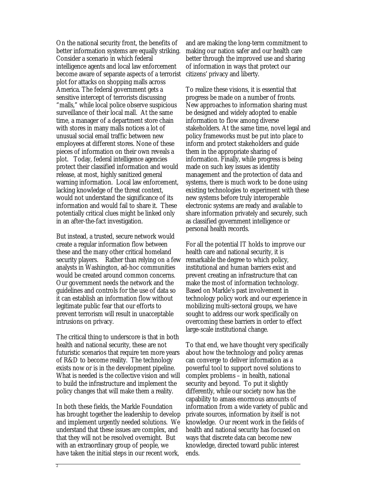On the national security front, the benefits of better information systems are equally striking. Consider a scenario in which federal intelligence agents and local law enforcement become aware of separate aspects of a terrorist plot for attacks on shopping malls across America. The federal government gets a sensitive intercept of terrorists discussing "malls," while local police observe suspicious surveillance of their local mall. At the same time, a manager of a department store chain with stores in many malls notices a lot of unusual social email traffic between new employees at different stores. None of these pieces of information on their own reveals a plot. Today, federal intelligence agencies protect their classified information and would release, at most, highly sanitized general warning information. Local law enforcement, lacking knowledge of the threat context, would not understand the significance of its information and would fail to share it. These potentially critical clues might be linked only in an after-the-fact investigation.

But instead, a trusted, secure network would create a regular information flow between these and the many other critical homeland security players. Rather than relying on a few analysts in Washington, ad-hoc communities would be created around common concerns. Our government needs the network and the guidelines and controls for the use of data so it can establish an information flow without legitimate public fear that our efforts to prevent terrorism will result in unacceptable intrusions on privacy.

The critical thing to underscore is that in both health and national security, these are not futuristic scenarios that require ten more years of R&D to become reality. The technology exists now or is in the development pipeline. What is needed is the collective vision and will to build the infrastructure and implement the policy changes that will make them a reality.

In both these fields, the Markle Foundation has brought together the leadership to develop and implement urgently needed solutions. We understand that these issues are complex, and that they will not be resolved overnight. But with an extraordinary group of people, we have taken the initial steps in our recent work,

and are making the long-term commitment to making our nation safer and our health care better through the improved use and sharing of information in ways that protect our citizens' privacy and liberty.

To realize these visions, it is essential that progress be made on a number of fronts. New approaches to information sharing must be designed and widely adopted to enable information to flow among diverse stakeholders. At the same time, novel legal and policy frameworks must be put into place to inform and protect stakeholders and guide them in the appropriate sharing of information. Finally, while progress is being made on such key issues as identity management and the protection of data and systems, there is much work to be done using existing technologies to experiment with these new systems before truly interoperable electronic systems are ready and available to share information privately and securely, such as classified government intelligence or personal health records.

For all the potential IT holds to improve our health care and national security, it is remarkable the degree to which policy, institutional and human barriers exist and prevent creating an infrastructure that can make the most of information technology. Based on Markle's past involvement in technology policy work and our experience in mobilizing multi-sectoral groups, we have sought to address our work specifically on overcoming these barriers in order to effect large-scale institutional change.

To that end, we have thought very specifically about how the technology and policy arenas can converge to deliver information as a powerful tool to support novel solutions to complex problems – in health, national security and beyond. To put it slightly differently, while our society now has the capability to amass enormous amounts of information from a wide variety of public and private sources, information by itself is not knowledge. Our recent work in the fields of health and national security has focused on ways that discrete data can become new knowledge, directed toward public interest ends.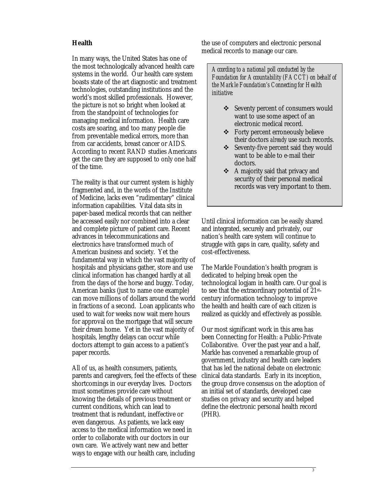#### **Health**

In many ways, the United States has one of the most technologically advanced health care systems in the world. Our health care system boasts state of the art diagnostic and treatment technologies, outstanding institutions and the world's most skilled professionals. However, the picture is not so bright when looked at from the standpoint of technologies for managing medical information. Health care costs are soaring, and too many people die from preventable medical errors, more than from car accidents, breast cancer or AIDS. According to recent RAND studies Americans get the care they are supposed to only one half of the time.

The reality is that our current system is highly fragmented and, in the words of the Institute of Medicine, lacks even "rudimentary" clinical information capabilities. Vital data sits in paper-based medical records that can neither be accessed easily nor combined into a clear and complete picture of patient care. Recent advances in telecommunications and electronics have transformed much of American business and society. Yet the fundamental way in which the vast majority of hospitals and physicians gather, store and use clinical information has changed hardly at all from the days of the horse and buggy. Today, American banks (just to name one example) can move millions of dollars around the world in fractions of a second. Loan applicants who used to wait for weeks now wait mere hours for approval on the mortgage that will secure their dream home. Yet in the vast majority of hospitals, lengthy delays can occur while doctors attempt to gain access to a patient's paper records.

All of us, as health consumers, patients, parents and caregivers, feel the effects of these shortcomings in our everyday lives. Doctors must sometimes provide care without knowing the details of previous treatment or current conditions, which can lead to treatment that is redundant, ineffective or even dangerous. As patients, we lack easy access to the medical information we need in order to collaborate with our doctors in our own care. We actively want new and better ways to engage with our health care, including

the use of computers and electronic personal medical records to manage our care.

*According to a national poll conducted by the Foundation for Accountability (FACCT) on behalf of the Markle Foundation's Connecting for Health initiative:* 

- ❖ Seventy percent of consumers would want to use some aspect of an electronic medical record.
- ! Forty percent erroneously believe their doctors *already* use such records.
- ❖ Seventy-five percent said they would want to be able to e-mail their doctors.
- $\triangleleft$  A majority said that privacy and security of their personal medical records was very important to them.

Until clinical information can be easily shared and integrated, securely and privately, our nation's health care system will continue to struggle with gaps in care, quality, safety and cost-effectiveness.

The Markle Foundation's health program is dedicated to helping break open the technological logjam in health care. Our goal is to see that the extraordinary potential of 21stcentury information technology to improve the health and health care of each citizen is realized as quickly and effectively as possible.

Our most significant work in this area has been Connecting for Health: a Public-Private Collaborative. Over the past year and a half, Markle has convened a remarkable group of government, industry and health care leaders that has led the national debate on electronic clinical data standards. Early in its inception, the group drove consensus on the adoption of an initial set of standards, developed case studies on privacy and security and helped define the electronic personal health record (PHR).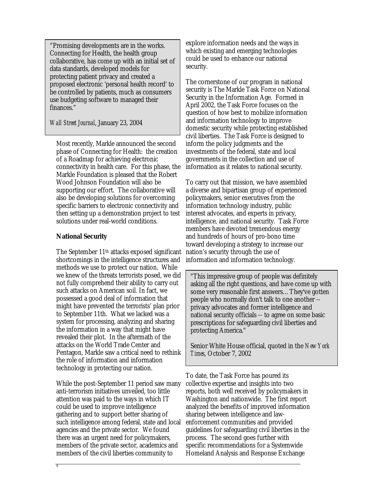"Promising developments are in the works. Connecting for Health, the health group collaborative, has come up with an initial set of data standards, developed models for protecting patient privacy and created a proposed electronic 'personal health record' to be controlled by patients, much as consumers use budgeting software to managed their finances."

*Wall Street Journal*, January 23, 2004

Most recently, Markle announced the second phase of Connecting for Health: the creation of a Roadmap for achieving electronic connectivity in health care. For this phase, the Markle Foundation is pleased that the Robert Wood Johnson Foundation will also be supporting our effort. The collaborative will also be developing solutions for overcoming specific barriers to electronic connectivity and then setting up a demonstration project to test solutions under real-world conditions.

#### **National Security**

The September 11th attacks exposed significant shortcomings in the intelligence structures and methods we use to protect our nation. While we knew of the threats terrorists posed, we did not fully comprehend their ability to carry out such attacks on American soil. In fact, we possessed a good deal of information that might have prevented the terrorists' plan prior to September 11th. What we lacked was a system for processing, analyzing and sharing the information in a way that might have revealed their plot. In the aftermath of the attacks on the World Trade Center and Pentagon, Markle saw a critical need to rethink the role of information and information technology in protecting our nation.

While the post-September 11 period saw many anti-terrorism initiatives unveiled, too little attention was paid to the ways in which IT could be used to improve intelligence gathering and to support better sharing of such intelligence among federal, state and local agencies and the private sector. We found there was an urgent need for policymakers, members of the private sector, academics and members of the civil liberties community to

explore information needs and the ways in which existing and emerging technologies could be used to enhance our national security.

The cornerstone of our program in national security is The Markle Task Force on National Security in the Information Age. Formed in April 2002, the Task Force focuses on the question of how best to mobilize information and information technology to improve domestic security while protecting established civil liberties. The Task Force is designed to inform the policy judgments and the investments of the federal, state and local governments in the collection and use of information as it relates to national security.

To carry out that mission, we have assembled a diverse and bipartisan group of experienced policymakers, senior executives from the information technology industry, public interest advocates, and experts in privacy, intelligence, and national security. Task Force members have devoted tremendous energy and hundreds of hours of pro-bono time toward developing a strategy to increase our nation's security through the use of information and information technology.

"This impressive group of people was definitely asking all the right questions, and have come up with some very reasonable first answers…They've gotten people who normally don't talk to one another - privacy advocates and former intelligence and national security officials -- to agree on some basic prescriptions for safeguarding civil liberties and protecting America."

Senior White House official, quoted in the *New York Times*, October 7, 2002

To date, the Task Force has poured its collective expertise and insights into two reports, both well received by policymakers in Washington and nationwide. The first report analyzed the benefits of improved information sharing between intelligence and lawenforcement communities and provided guidelines for safeguarding civil liberties in the process. The second goes further with specific recommendations for a Systemwide Homeland Analysis and Response Exchange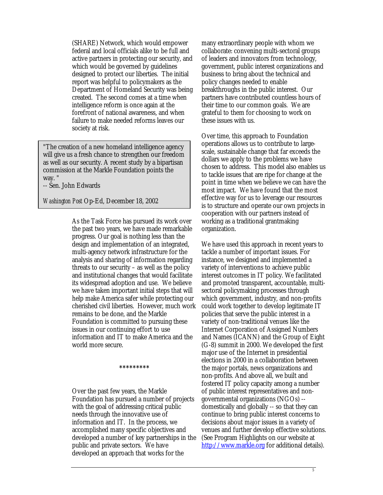(SHARE) Network, which would empower federal and local officials alike to be full and active partners in protecting our security, and which would be governed by guidelines designed to protect our liberties. The initial report was helpful to policymakers as the Department of Homeland Security was being created. The second comes at a time when intelligence reform is once again at the forefront of national awareness, and when failure to make needed reforms leaves our society at risk.

"The creation of a new homeland intelligence agency will give us a fresh chance to strengthen our freedom as well as our security. A recent study by a bipartisan commission at the Markle Foundation points the way. "

-- Sen. John Edwards

*Washington Post* Op-Ed, December 18, 2002

As the Task Force has pursued its work over the past two years, we have made remarkable progress. Our goal is nothing less than the design and implementation of an integrated, multi-agency network infrastructure for the analysis and sharing of information regarding threats to our security – as well as the policy and institutional changes that would facilitate its widespread adoption and use. We believe we have taken important initial steps that will help make America safer while protecting our cherished civil liberties. However, much work remains to be done, and the Markle Foundation is committed to pursuing these issues in our continuing effort to use information and IT to make America and the world more secure.

Over the past few years, the Markle Foundation has pursued a number of projects with the goal of addressing critical public needs through the innovative use of information and IT. In the process, we accomplished many specific objectives and developed a number of key partnerships in the public and private sectors. We have developed an approach that works for the

**\*\*\*\*\*\*\*\*\*** 

many extraordinary people with whom we collaborate: convening multi-sectoral groups of leaders and innovators from technology, government, public interest organizations and business to bring about the technical and policy changes needed to enable breakthroughs in the public interest. Our partners have contributed countless hours of their time to our common goals. We are grateful to them for choosing to work on these issues with us.

Over time, this approach to Foundation operations allows us to contribute to largescale, sustainable change that far exceeds the dollars we apply to the problems we have chosen to address. This model also enables us to tackle issues that are ripe for change at the point in time when we believe we can have the most impact. We have found that the most effective way for us to leverage our resources is to structure and operate our own projects in cooperation with our partners instead of working as a traditional grantmaking organization.

We have used this approach in recent years to tackle a number of important issues. For instance, we designed and implemented a variety of interventions to achieve public interest outcomes in IT policy. We facilitated and promoted transparent, accountable, multisectoral policymaking processes through which government, industry, and non-profits could work together to develop legitimate IT policies that serve the public interest in a variety of non-traditional venues like the Internet Corporation of Assigned Numbers and Names (ICANN) and the Group of Eight (G-8) summit in 2000. We developed the first major use of the Internet in presidential elections in 2000 in a collaboration between the major portals, news organizations and non-profits. And above all, we built and fostered IT policy capacity among a number of public interest representatives and nongovernmental organizations (NGOs) - domestically and globally -- so that they can continue to bring public interest concerns to decisions about major issues in a variety of venues and further develop effective solutions. (See Program Highlights on our website at http://www.markle.org for additional details).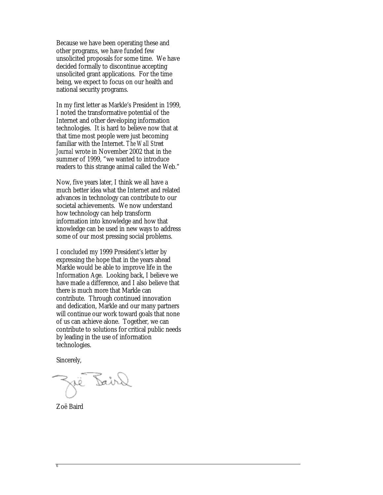Because we have been operating these and other programs, we have funded few unsolicited proposals for some time. We have decided formally to discontinue accepting unsolicited grant applications. For the time being, we expect to focus on our health and national security programs.

In my first letter as Markle's President in 1999, I noted the transformative potential of the Internet and other developing information technologies. It is hard to believe now that at that time most people were just becoming familiar with the Internet. *The Wall Street Journal* wrote in November 2002 that in the summer of 1999, "we wanted to introduce readers to this strange animal called the Web."

Now, five years later, I think we all have a much better idea what the Internet and related advances in technology can contribute to our societal achievements. We now understand how technology can help transform information into knowledge and how that knowledge can be used in new ways to address some of our most pressing social problems.

I concluded my 1999 President's letter by expressing the hope that in the years ahead Markle would be able to improve life in the Information Age. Looking back, I believe we have made a difference, and I also believe that there is much more that Markle can contribute. Through continued innovation and dedication, Markle and our many partners will continue our work toward goals that none of us can achieve alone. Together, we can contribute to solutions for critical public needs by leading in the use of information technologies.

Sincerely,

Dair

Zoë Baird

6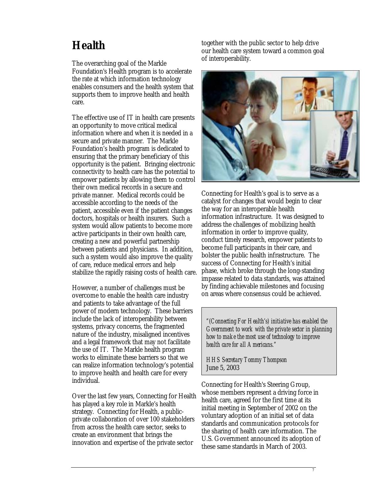# **Health**

The overarching goal of the Markle Foundation's Health program is to accelerate the rate at which information technology enables consumers and the health system that supports them to improve health and health care.

The effective use of IT in health care presents an opportunity to move critical medical information where and when it is needed in a secure and private manner. The Markle Foundation's health program is dedicated to ensuring that the primary beneficiary of this opportunity is the patient. Bringing electronic connectivity to health care has the potential to empower patients by allowing them to control their own medical records in a secure and private manner. Medical records could be accessible according to the needs of the patient, accessible even if the patient changes doctors, hospitals or health insurers. Such a system would allow patients to become more active participants in their own health care, creating a new and powerful partnership between patients and physicians. In addition, such a system would also improve the quality of care, reduce medical errors and help stabilize the rapidly raising costs of health care.

However, a number of challenges must be overcome to enable the health care industry and patients to take advantage of the full power of modern technology. These barriers include the lack of interoperability between systems, privacy concerns, the fragmented nature of the industry, misaligned incentives and a legal framework that may not facilitate the use of IT. The Markle health program works to eliminate these barriers so that we can realize information technology's potential to improve health and health care for every individual.

Over the last few years, Connecting for Health has played a key role in Markle's health strategy. Connecting for Health, a publicprivate collaboration of over 100 stakeholders from across the health care sector, seeks to create an environment that brings the innovation and expertise of the private sector

together with the public sector to help drive our health care system toward a common goal of interoperability.



Connecting for Health's goal is to serve as a catalyst for changes that would begin to clear the way for an interoperable health information infrastructure. It was designed to address the challenges of mobilizing health information in order to improve quality, conduct timely research, empower patients to become full participants in their care, and bolster the public health infrastructure. The success of Connecting for Health's initial phase, which broke through the long-standing impasse related to data standards, was attained by finding achievable milestones and focusing on areas where consensus could be achieved.

*"(Connecting For Health's) initiative has enabled the Government to work with the private sector in planning how to make the most use of technology to improve health care for all Americans."* 

*HHS Secretary Tommy Thompson*  June 5, 2003

Connecting for Health's Steering Group, whose members represent a driving force in health care, agreed for the first time at its initial meeting in September of 2002 on the voluntary adoption of an initial set of data standards and communication protocols for the sharing of health care information. The U.S. Government announced its adoption of these same standards in March of 2003.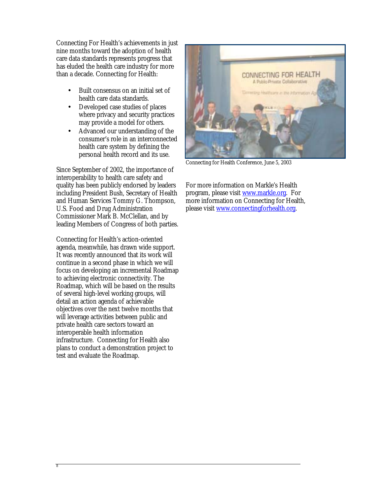Connecting For Health's achievements in just nine months toward the adoption of health care data standards represents progress that has eluded the health care industry for more than a decade. Connecting for Health:

- Built consensus on an initial set of health care data standards.
- Developed case studies of places where privacy and security practices may provide a model for others.
- Advanced our understanding of the consumer's role in an interconnected health care system by defining the personal health record and its use.

Since September of 2002, the importance of interoperability to health care safety and quality has been publicly endorsed by leaders including President Bush, Secretary of Health and Human Services Tommy G. Thompson, U.S. Food and Drug Administration Commissioner Mark B. McClellan, and by leading Members of Congress of both parties.

Connecting for Health's action-oriented agenda, meanwhile, has drawn wide support. It was recently announced that its work will continue in a second phase in which we will focus on developing an incremental Roadmap to achieving electronic connectivity. The Roadmap, which will be based on the results of several high-level working groups, will detail an action agenda of achievable objectives over the next twelve months that will leverage activities between public and private health care sectors toward an interoperable health information infrastructure. Connecting for Health also plans to conduct a demonstration project to test and evaluate the Roadmap.



Connecting for Health Conference, June 5, 2003

For more information on Markle's Health program, please visit www.markle.org. For more information on Connecting for Health, please visit www.connectingforhealth.org.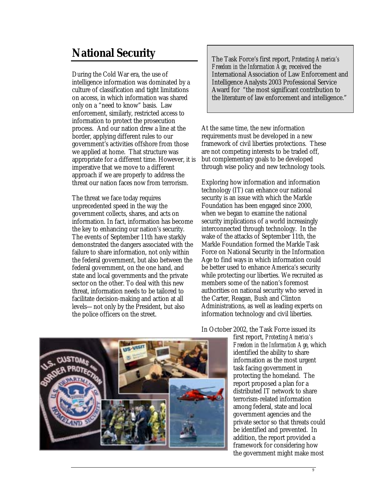# **National Security**

During the Cold War era, the use of intelligence information was dominated by a culture of classification and tight limitations on access, in which information was shared only on a "need to know" basis. Law enforcement, similarly, restricted access to information to protect the prosecution process. And our nation drew a line at the border, applying different rules to our government's activities offshore from those we applied at home. That structure was appropriate for a different time. However, it is imperative that we move to a different approach if we are properly to address the threat our nation faces now from terrorism.

The threat we face today requires unprecedented speed in the way the government collects, shares, and acts on information. In fact, information has become the key to enhancing our nation's security. The events of September 11th have starkly demonstrated the dangers associated with the failure to share information, not only within the federal government, but also between the federal government, on the one hand, and state and local governments and the private sector on the other. To deal with this new threat, information needs to be tailored to facilitate decision-making and action at all levels—not only by the President, but also the police officers on the street.

The Task Force's first report, *Protecting America's Freedom in the Information Age,* received the International Association of Law Enforcement and Intelligence Analysts 2003 Professional Service Award for "the most significant contribution to the literature of law enforcement and intelligence."

At the same time, the new information requirements must be developed in a new framework of civil liberties protections. These are not competing interests to be traded off, but complementary goals to be developed through wise policy and new technology tools.

Exploring how information and information technology (IT) can enhance our national security is an issue with which the Markle Foundation has been engaged since 2000, when we began to examine the national security implications of a world increasingly interconnected through technology. In the wake of the attacks of September 11th, the Markle Foundation formed the Markle Task Force on National Security in the Information Age to find ways in which information could be better used to enhance America's security while protecting our liberties. We recruited as members some of the nation's foremost authorities on national security who served in the Carter, Reagan, Bush and Clinton Administrations, as well as leading experts on information technology and civil liberties.



#### In October 2002, the Task Force issued its

first report, *Protecting America's Freedom in the Information Age*, which identified the ability to share information as the most urgent task facing government in protecting the homeland. The report proposed a plan for a distributed IT network to share terrorism-related information among federal, state and local government agencies and the private sector so that threats could be identified and prevented. In addition, the report provided a framework for considering how the government might make most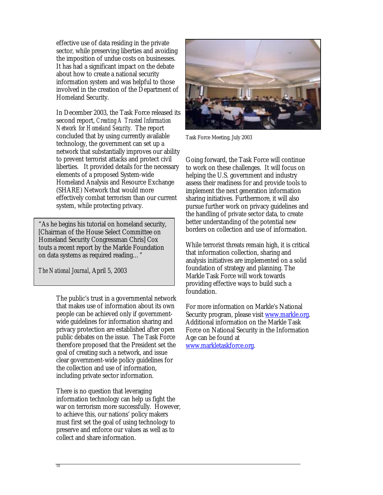effective use of data residing in the private sector, while preserving liberties and avoiding the imposition of undue costs on businesses. It has had a significant impact on the debate about how to create a national security information system and was helpful to those involved in the creation of the Department of Homeland Security.

In December 2003, the Task Force released its second report, *Creating A Trusted Information Network for Homeland Security*. The report concluded that by using currently available technology, the government can set up a network that substantially improves our ability to prevent terrorist attacks and protect civil liberties. It provided details for the necessary elements of a proposed System-wide Homeland Analysis and Resource Exchange (SHARE) Network that would more effectively combat terrorism than our current system, while protecting privacy.

"As he begins his tutorial on homeland security, [Chairman of the House Select Committee on Homeland Security Congressman Chris] Cox touts a recent report by the Markle Foundation on data systems as required reading…"

*The National Journal*, April 5, 2003

The public's trust in a governmental network that makes use of information about its own people can be achieved only if governmentwide guidelines for information sharing and privacy protection are established after open public debates on the issue. The Task Force therefore proposed that the President set the goal of creating such a network, and issue clear government-wide policy guidelines for the collection and use of information, including private sector information.

There is no question that leveraging information technology can help us fight the war on terrorism more successfully. However, to achieve this, our nations' policy makers must first set the goal of using technology to preserve and enforce our values as well as to collect and share information.



Task Force Meeting, July 2003

Going forward, the Task Force will continue to work on these challenges. It will focus on helping the U.S. government and industry assess their readiness for and provide tools to implement the next generation information sharing initiatives. Furthermore, it will also pursue further work on privacy guidelines and the handling of private sector data, to create better understanding of the potential new borders on collection and use of information.

While terrorist threats remain high, it is critical that information collection, sharing and analysis initiatives are implemented on a solid foundation of strategy and planning. The Markle Task Force will work towards providing effective ways to build such a foundation.

For more information on Markle's National Security program, please visit www.markle.org. Additional information on the Markle Task Force on National Security in the Information Age can be found at www.markletaskforce.org.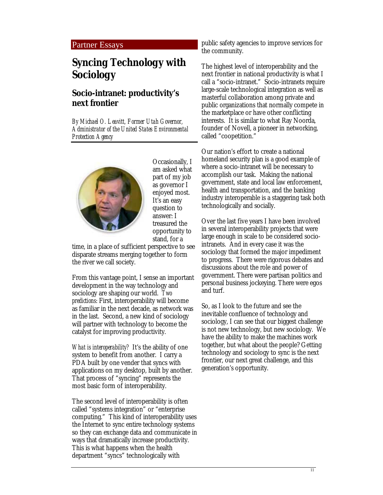#### Partner Essays

## **Syncing Technology with Sociology**

### **Socio-intranet: productivity's next frontier**

*By Michael O. Leavitt, Former Utah Governor, Administrator of the United States Environmental Protection Agency*



Occasionally, I am asked what part of my job as governor I enjoyed most. It's an easy question to answer: I treasured the opportunity to stand, for a

time, in a place of sufficient perspective to see disparate streams merging together to form the river we call society.

From this vantage point, I sense an important development in the way technology and sociology are shaping our world. *Two predictions*: First, interoperability will become as familiar in the next decade, as network was in the last. Second, a new kind of sociology will partner with technology to become the catalyst for improving productivity.

*What is interoperability?* It's the ability of one system to benefit from another. I carry a PDA built by one vender that syncs with applications on my desktop, built by another. That process of "syncing" represents the most basic form of interoperability.

The second level of interoperability is often called "systems integration" or "enterprise computing." This kind of interoperability uses the Internet to sync entire technology systems so they can exchange data and communicate in ways that dramatically increase productivity. This is what happens when the health department "syncs" technologically with

public safety agencies to improve services for the community.

The highest level of interoperability and the next frontier in national productivity is what I call a "socio-intranet." Socio-intranets require large-scale technological integration as well as masterful collaboration among private and public organizations that normally compete in the marketplace or have other conflicting interests. It is similar to what Ray Noorda, founder of Novell, a pioneer in networking, called "coopetition."

Our nation's effort to create a national homeland security plan is a good example of where a socio-intranet will be necessary to accomplish our task. Making the national government, state and local law enforcement, health and transportation, and the banking industry interoperable is a staggering task both technologically and socially.

Over the last five years I have been involved in several interoperability projects that were large enough in scale to be considered sociointranets. And in every case it was the sociology that formed the major impediment to progress. There were rigorous debates and discussions about the role and power of government. There were partisan politics and personal business jockeying. There were egos and turf.

So, as I look to the future and see the inevitable confluence of technology and sociology, I can see that our biggest challenge is not new technology, but new sociology. We have the ability to make the machines work together, but what about the people? Getting technology and sociology to sync is the next frontier, our next great challenge, and this generation's opportunity.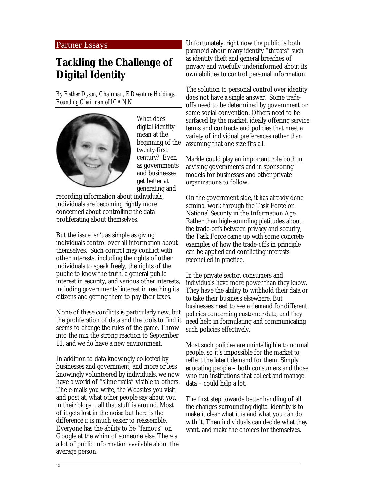#### Partner Essays

## **Tackling the Challenge of Digital Identity**

*By Esther Dyson, Chairman, EDventure Holdings, Founding Chairman of ICANN* 



What does digital identity mean at the beginning of the twenty-first century? Even as governments and businesses get better at generating and

recording information about individuals, individuals are becoming rightly more concerned about controlling the data proliferating about themselves.

But the issue isn't as simple as giving individuals control over all information about themselves. Such control may conflict with other interests, including the rights of other individuals to speak freely, the rights of the public to know the truth, a general public interest in security, and various other interests, including governments' interest in reaching its citizens and getting them to pay their taxes.

None of these conflicts is particularly new, but the proliferation of data and the tools to find it seems to change the rules of the game. Throw into the mix the strong reaction to September 11, and we do have a new environment.

In addition to data knowingly collected by businesses and government, and more or less knowingly volunteered by individuals, we now have a world of "slime trails" visible to others. The e-mails you write, the Websites you visit and post at, what other people say about you in their blogs…all that stuff is around. Most of it gets lost in the noise but here is the difference it is much easier to reassemble. Everyone has the ability to be "famous" on Google at the whim of someone else. There's a lot of public information available about the average person.

Unfortunately, right now the public is both paranoid about many identity "threats" such as identity theft and general breaches of privacy and woefully underinformed about its own abilities to control personal information.

The solution to personal control over identity does not have a single answer. Some tradeoffs need to be determined by government or some social convention. Others need to be surfaced by the market, ideally offering service terms and contracts and policies that meet a variety of individual preferences rather than assuming that one size fits all.

Markle could play an important role both in advising governments and in sponsoring models for businesses and other private organizations to follow.

On the government side, it has already done seminal work through the Task Force on National Security in the Information Age. Rather than high-sounding platitudes about the trade-offs between privacy and security, the Task Force came up with some concrete examples of how the trade-offs in principle can be applied and conflicting interests reconciled in practice.

In the private sector, consumers and individuals have more power than they know. They have the ability to withhold their data or to take their business elsewhere. But businesses need to see a demand for different policies concerning customer data, and they need help in formulating and communicating such policies effectively.

Most such policies are unintelligible to normal people, so it's impossible for the market to reflect the latent demand for them. Simply educating people – both consumers and those who run institutions that collect and manage data – could help a lot.

The first step towards better handling of all the changes surrounding digital identity is to make it clear what it is and what you can do with it. Then individuals can decide what they want, and make the choices for themselves.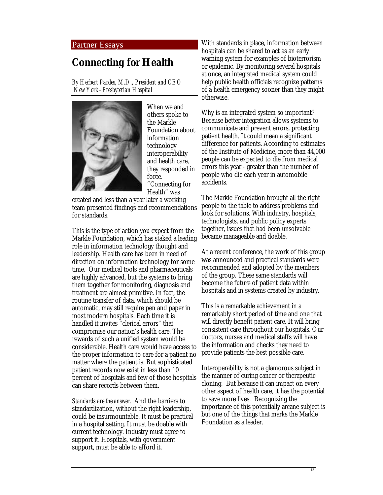#### Partner Essays

## **Connecting for Health**

*By Herbert Pardes, M.D., President and CEO New York–Presbyterian Hospital* 



When we and others spoke to the Markle Foundation about information technology interoperability and health care, they responded in force. "Connecting for Health" was

created and less than a year later a working team presented findings and recommendations for standards.

This is the type of action you expect from the Markle Foundation, which has staked a leading role in information technology thought and leadership. Health care has been in need of direction on information technology for some time. Our medical tools and pharmaceuticals are highly advanced, but the systems to bring them together for monitoring, diagnosis and treatment are almost primitive. In fact, the routine transfer of data, which should be automatic, may still require pen and paper in most modern hospitals. Each time it is handled it invites "clerical errors" that compromise our nation's health care. The rewards of such a unified system would be considerable. Health care would have access to the proper information to care for a patient no matter where the patient is. But sophisticated patient records now exist in less than 10 percent of hospitals and few of those hospitals can share records between them.

*Standards are the answer*. And the barriers to standardization, without the right leadership, could be insurmountable. It must be practical in a hospital setting. It must be doable with current technology. Industry must agree to support it. Hospitals, with government support, must be able to afford it.

With standards in place, information between hospitals can be shared to act as an early warning system for examples of bioterrorism or epidemic. By monitoring several hospitals at once, an integrated medical system could help public health officials recognize patterns of a health emergency sooner than they might otherwise.

Why is an integrated system so important? Because better integration allows systems to communicate and prevent errors, protecting patient health. It could mean a significant difference for patients. According to estimates of the Institute of Medicine, more than 44,000 people can be expected to die from medical errors this year - greater than the number of people who die each year in automobile accidents.

The Markle Foundation brought all the right people to the table to address problems and look for solutions. With industry, hospitals, technologists, and public policy experts together, issues that had been unsolvable became manageable and doable.

At a recent conference, the work of this group was announced and practical standards were recommended and adopted by the members of the group. These same standards will become the future of patient data within hospitals and in systems created by industry.

This is a remarkable achievement in a remarkably short period of time and one that will directly benefit patient care. It will bring consistent care throughout our hospitals. Our doctors, nurses and medical staffs will have the information and checks they need to provide patients the best possible care.

Interoperability is not a glamorous subject in the manner of curing cancer or therapeutic cloning. But because it can impact on every other aspect of health care, it has the potential to save more lives. Recognizing the importance of this potentially arcane subject is but one of the things that marks the Markle Foundation as a leader.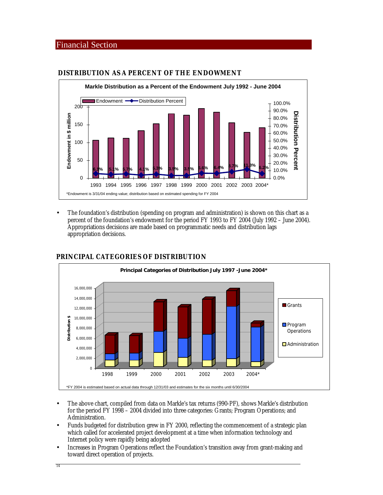#### Financial Section



#### **DISTRIBUTION AS A PERCENT OF THE ENDOWMENT**

• The foundation's distribution (spending on program and administration) is shown on this chart as a percent of the foundation's endowment for the period FY 1993 to FY 2004 (July 1992 – June 2004). Appropriations decisions are made based on programmatic needs and distribution lags appropriation decisions.



#### **PRINCIPAL CATEGORIES OF DISTRIBUTION**

- The above chart, compiled from data on Markle's tax returns (990-PF), shows Markle's distribution for the period FY 1998 – 2004 divided into three categories: Grants; Program Operations; and Administration.
- Funds budgeted for distribution grew in FY 2000, reflecting the commencement of a strategic plan which called for accelerated project development at a time when information technology and Internet policy were rapidly being adopted
- Increases in Program Operations reflect the Foundation's transition away from grant-making and toward direct operation of projects.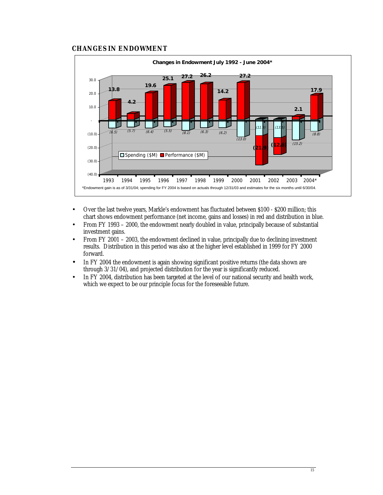#### **CHANGES IN ENDOWMENT**



- Over the last twelve years, Markle's endowment has fluctuated between \$100 \$200 million; this chart shows endowment performance (net income, gains and losses) in red and distribution in blue.
- From FY 1993 2000, the endowment nearly doubled in value, principally because of substantial investment gains.
- From FY 2001 2003, the endowment declined in value, principally due to declining investment results. Distribution in this period was also at the higher level established in 1999 for FY 2000 forward.
- In FY 2004 the endowment is again showing significant positive returns (the data shown are through 3/31/04), and projected distribution for the year is significantly reduced.
- In FY 2004, distribution has been targeted at the level of our national security and health work, which we expect to be our principle focus for the foreseeable future.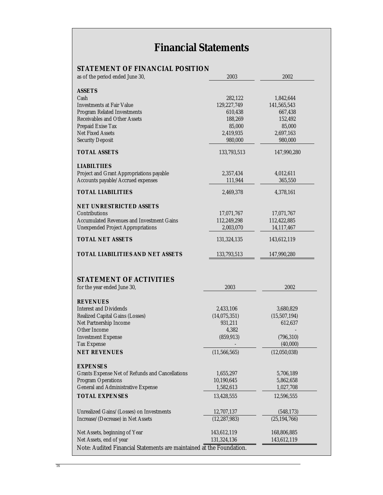# **Financial Statements**

### **STATEMENT OF FINANCIAL POSITION**

| as of the period ended June 30,                                           | 2003           | 2002           |
|---------------------------------------------------------------------------|----------------|----------------|
|                                                                           |                |                |
| <b>ASSETS</b>                                                             |                |                |
| Cash                                                                      | 282,122        | 1,842,644      |
| <b>Investments at Fair Value</b>                                          | 129,227,749    | 141,565,543    |
| <b>Program Related Investments</b>                                        | 610,438        | 667,438        |
| <b>Receivables and Other Assets</b>                                       | 188,269        | 152,492        |
| Prepaid Exise Tax<br><b>Net Fixed Assets</b>                              | 85,000         | 85,000         |
|                                                                           | 2,419,935      | 2,697,163      |
| <b>Security Deposit</b>                                                   | 980,000        | 980,000        |
| <b>TOTAL ASSETS</b>                                                       | 133,793,513    | 147,990,280    |
| <b>LIABILTIIES</b>                                                        |                |                |
| Project and Grant Appropriations payable                                  | 2,357,434      | 4,012,611      |
| Accounts payable/Accrued expenses                                         | 111,944        | 365,550        |
| <b>TOTAL LIABILITIES</b>                                                  | 2,469,378      | 4,378,161      |
|                                                                           |                |                |
| <b>NET UNRESTRICTED ASSETS</b>                                            |                |                |
| Contributions                                                             | 17,071,767     | 17,071,767     |
| <b>Accumulated Revenues and Investment Gains</b>                          | 112,249,298    | 112,422,885    |
| <b>Unexpended Project Appropriations</b>                                  | 2,003,070      | 14,117,467     |
| <b>TOTAL NET ASSETS</b>                                                   | 131,324,135    | 143,612,119    |
| <b>TOTAL LIABILITIES AND NET ASSETS</b>                                   | 133,793,513    | 147,990,280    |
|                                                                           |                |                |
| <b>STATEMENT OF ACTIVITIES</b>                                            |                |                |
| for the year ended June 30,                                               | 2003           | 2002           |
|                                                                           |                |                |
| <b>REVENUES</b>                                                           |                |                |
| <b>Interest and Dividends</b>                                             | 2,433,106      | 3,680,829      |
| Realized Capital Gains (Losses)                                           | (14,075,351)   | (15,507,194)   |
| Net Partnership Income                                                    | 931,211        | 612,637        |
| <b>Other Income</b>                                                       | 4,382          |                |
| <b>Investment Expense</b>                                                 | (859, 913)     | (796, 310)     |
| <b>Tax Expense</b>                                                        |                | (40,000)       |
| <b>NET REVENUES</b>                                                       | (11, 566, 565) | (12,050,038)   |
|                                                                           |                |                |
| <b>EXPENSES</b><br><b>Grants Expense Net of Refunds and Cancellations</b> | 1,655,297      | 5,706,189      |
| <b>Program Operations</b>                                                 | 10,190,645     | 5,862,658      |
| <b>General and Administrative Expense</b>                                 | 1,582,613      | 1,027,708      |
|                                                                           |                |                |
| <b>TOTAL EXPENSES</b>                                                     | 13,428,555     | 12,596,555     |
| Unrealized Gains/(Losses) on Investments                                  | 12,707,137     | (548, 173)     |
| Increase/(Decrease) in Net Assets                                         | (12, 287, 983) | (25, 194, 766) |
|                                                                           |                |                |
| Net Assets, beginning of Year                                             | 143,612,119    | 168,806,885    |
| Net Assets, end of year                                                   | 131,324,136    | 143,612,119    |
| Note: Audited Financial Statements are maintained at the Foundation.      |                |                |